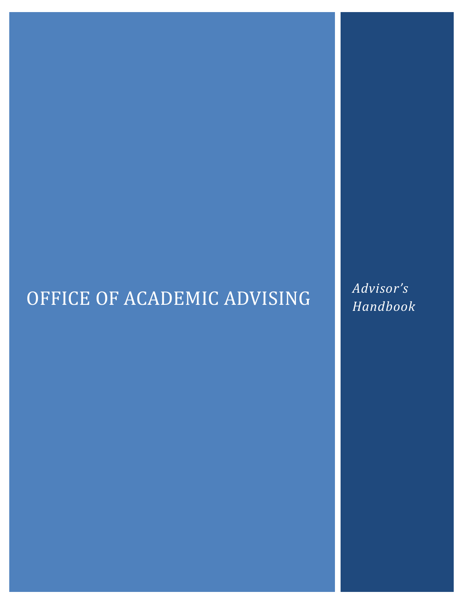# OFFICE OF ACADEMIC ADVISING *Advisor's*

*Handbook*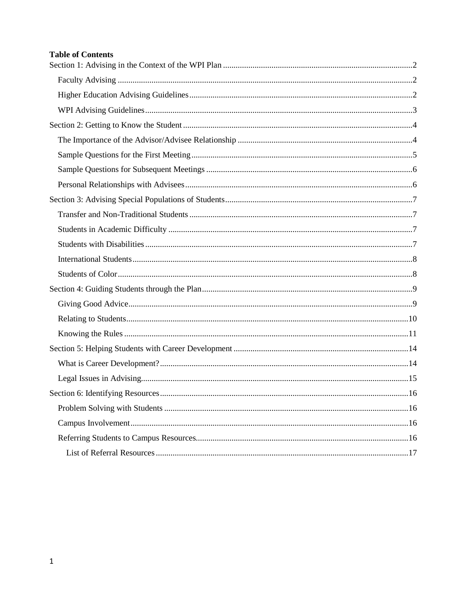#### **Table of Contents**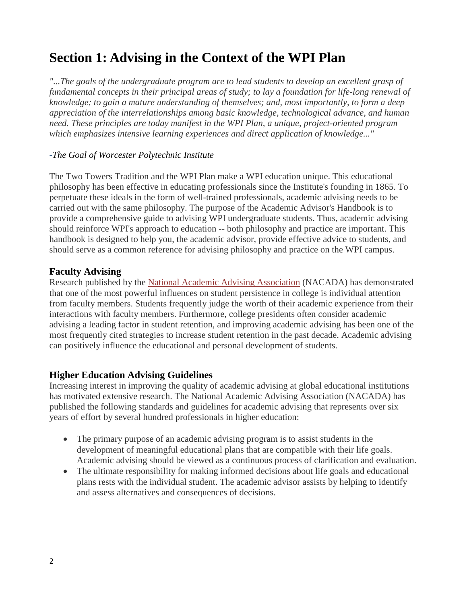# <span id="page-2-0"></span>**Section 1: Advising in the Context of the WPI Plan**

*"...The goals of the undergraduate program are to lead students to develop an excellent grasp of fundamental concepts in their principal areas of study; to lay a foundation for life-long renewal of knowledge; to gain a mature understanding of themselves; and, most importantly, to form a deep appreciation of the interrelationships among basic knowledge, technological advance, and human need. These principles are today manifest in the WPI Plan, a unique, project-oriented program which emphasizes intensive learning experiences and direct application of knowledge..."*

#### *-The Goal of Worcester Polytechnic Institute*

The Two Towers Tradition and the WPI Plan make a WPI education unique. This educational philosophy has been effective in educating professionals since the Institute's founding in 1865. To perpetuate these ideals in the form of well-trained professionals, academic advising needs to be carried out with the same philosophy. The purpose of the Academic Advisor's Handbook is to provide a comprehensive guide to advising WPI undergraduate students. Thus, academic advising should reinforce WPI's approach to education -- both philosophy and practice are important. This handbook is designed to help you, the academic advisor, provide effective advice to students, and should serve as a common reference for advising philosophy and practice on the WPI campus.

### <span id="page-2-1"></span>**Faculty Advising**

Research published by the [National Academic Advising Association](http://www.nacada.ksu.edu/) (NACADA) has demonstrated that one of the most powerful influences on student persistence in college is individual attention from faculty members. Students frequently judge the worth of their academic experience from their interactions with faculty members. Furthermore, college presidents often consider academic advising a leading factor in student retention, and improving academic advising has been one of the most frequently cited strategies to increase student retention in the past decade. Academic advising can positively influence the educational and personal development of students.

# <span id="page-2-2"></span>**Higher Education Advising Guidelines**

Increasing interest in improving the quality of academic advising at global educational institutions has motivated extensive research. The National Academic Advising Association (NACADA) has published the following standards and guidelines for academic advising that represents over six years of effort by several hundred professionals in higher education:

- The primary purpose of an academic advising program is to assist students in the development of meaningful educational plans that are compatible with their life goals. Academic advising should be viewed as a continuous process of clarification and evaluation.
- The ultimate responsibility for making informed decisions about life goals and educational plans rests with the individual student. The academic advisor assists by helping to identify and assess alternatives and consequences of decisions.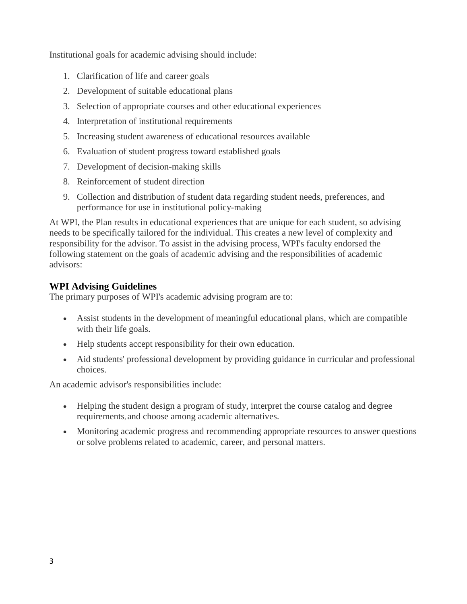Institutional goals for academic advising should include:

- 1. Clarification of life and career goals
- 2. Development of suitable educational plans
- 3. Selection of appropriate courses and other educational experiences
- 4. Interpretation of institutional requirements
- 5. Increasing student awareness of educational resources available
- 6. Evaluation of student progress toward established goals
- 7. Development of decision-making skills
- 8. Reinforcement of student direction
- 9. Collection and distribution of student data regarding student needs, preferences, and performance for use in institutional policy-making

At WPI, the Plan results in educational experiences that are unique for each student, so advising needs to be specifically tailored for the individual. This creates a new level of complexity and responsibility for the advisor. To assist in the advising process, WPI's faculty endorsed the following statement on the goals of academic advising and the responsibilities of academic advisors:

# <span id="page-3-0"></span>**WPI Advising Guidelines**

The primary purposes of WPI's academic advising program are to:

- Assist students in the development of meaningful educational plans, which are compatible with their life goals.
- Help students accept responsibility for their own education.
- Aid students' professional development by providing guidance in curricular and professional choices.

An academic advisor's responsibilities include:

- Helping the student design a program of study, interpret the course catalog and degree requirements, and choose among academic alternatives.
- Monitoring academic progress and recommending appropriate resources to answer questions or solve problems related to academic, career, and personal matters.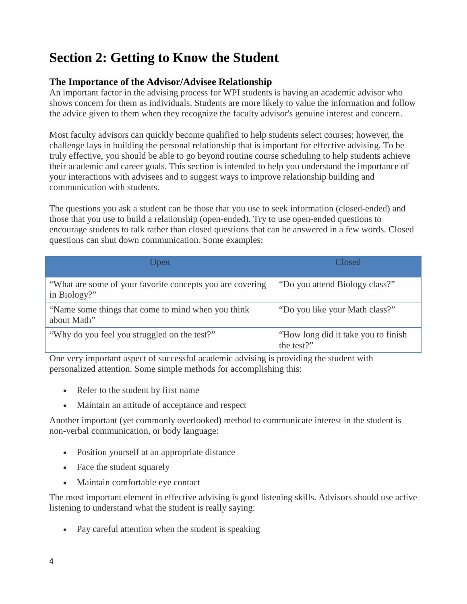# <span id="page-4-0"></span>**Section 2: Getting to Know the Student**

# <span id="page-4-1"></span>**The Importance of the Advisor/Advisee Relationship**

An important factor in the advising process for WPI students is having an academic advisor who shows concern for them as individuals. Students are more likely to value the information and follow the advice given to them when they recognize the faculty advisor's genuine interest and concern.

Most faculty advisors can quickly become qualified to help students select courses; however, the challenge lays in building the personal relationship that is important for effective advising. To be truly effective, you should be able to go beyond routine course scheduling to help students achieve their academic and career goals. This section is intended to help you understand the importance of your interactions with advisees and to suggest ways to improve relationship building and communication with students.

The questions you ask a student can be those that you use to seek information (closed-ended) and those that you use to build a relationship (open-ended). Try to use open-ended questions to encourage students to talk rather than closed questions that can be answered in a few words. Closed questions can shut down communication. Some examples:

| Open                                                                      | Closed                                             |
|---------------------------------------------------------------------------|----------------------------------------------------|
| "What are some of your favorite concepts you are covering<br>in Biology?" | "Do you attend Biology class?"                     |
| "Name some things that come to mind when you think"<br>about Math"        | "Do you like your Math class?"                     |
| "Why do you feel you struggled on the test?"                              | "How long did it take you to finish"<br>the test?" |

One very important aspect of successful academic advising is providing the student with personalized attention. Some simple methods for accomplishing this:

- Refer to the student by first name
- Maintain an attitude of acceptance and respect

Another important (yet commonly overlooked) method to communicate interest in the student is non-verbal communication, or body language:

- Position yourself at an appropriate distance
- Face the student squarely
- Maintain comfortable eye contact

The most important element in effective advising is good listening skills. Advisors should use active listening to understand what the student is really saying:

• Pay careful attention when the student is speaking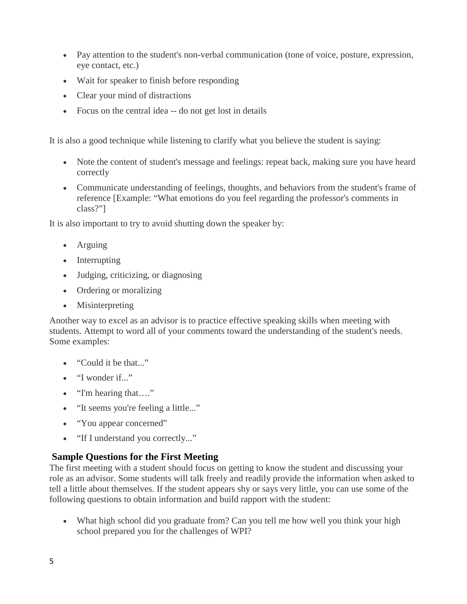- Pay attention to the student's non-verbal communication (tone of voice, posture, expression, eye contact, etc.)
- Wait for speaker to finish before responding
- Clear your mind of distractions
- Focus on the central idea -- do not get lost in details

It is also a good technique while listening to clarify what you believe the student is saying:

- Note the content of student's message and feelings: repeat back, making sure you have heard correctly
- Communicate understanding of feelings, thoughts, and behaviors from the student's frame of reference [Example: "What emotions do you feel regarding the professor's comments in class?"]

It is also important to try to avoid shutting down the speaker by:

- Arguing
- Interrupting
- Judging, criticizing, or diagnosing
- Ordering or moralizing
- Misinterpreting

Another way to excel as an advisor is to practice effective speaking skills when meeting with students. Attempt to word all of your comments toward the understanding of the student's needs. Some examples:

- "Could it be that..."
- "I wonder if..."
- "I'm hearing that...."
- "It seems you're feeling a little..."
- "You appear concerned"
- "If I understand you correctly..."

# <span id="page-5-0"></span>**Sample Questions for the First Meeting**

The first meeting with a student should focus on getting to know the student and discussing your role as an advisor. Some students will talk freely and readily provide the information when asked to tell a little about themselves. If the student appears shy or says very little, you can use some of the following questions to obtain information and build rapport with the student:

• What high school did you graduate from? Can you tell me how well you think your high school prepared you for the challenges of WPI?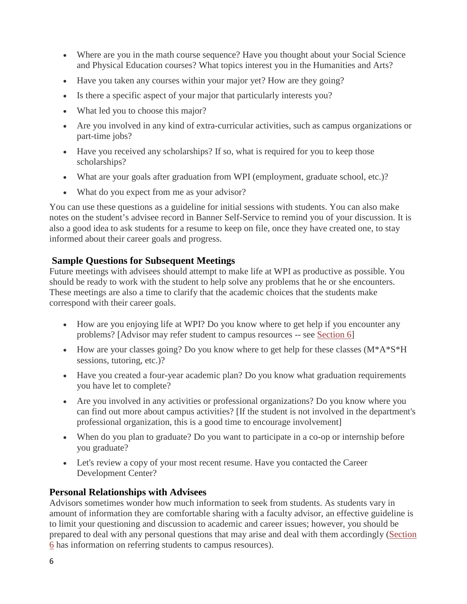- Where are you in the math course sequence? Have you thought about your Social Science and Physical Education courses? What topics interest you in the Humanities and Arts?
- Have you taken any courses within your major yet? How are they going?
- Is there a specific aspect of your major that particularly interests you?
- What led you to choose this major?
- Are you involved in any kind of extra-curricular activities, such as campus organizations or part-time jobs?
- Have you received any scholarships? If so, what is required for you to keep those scholarships?
- What are your goals after graduation from WPI (employment, graduate school, etc.)?
- What do you expect from me as your advisor?

You can use these questions as a guideline for initial sessions with students. You can also make notes on the student's advisee record in Banner Self-Service to remind you of your discussion. It is also a good idea to ask students for a resume to keep on file, once they have created one, to stay informed about their career goals and progress.

# <span id="page-6-0"></span>**Sample Questions for Subsequent Meetings**

Future meetings with advisees should attempt to make life at WPI as productive as possible. You should be ready to work with the student to help solve any problems that he or she encounters. These meetings are also a time to clarify that the academic choices that the students make correspond with their career goals.

- How are you enjoying life at WPI? Do you know where to get help if you encounter any problems? [Advisor may refer student to campus resources -- see [Section 6\]](#page-16-0)
- How are your classes going? Do you know where to get help for these classes (M\*A\*S\*H) sessions, tutoring, etc.)?
- Have you created a four-year academic plan? Do you know what graduation requirements you have let to complete?
- Are you involved in any activities or professional organizations? Do you know where you can find out more about campus activities? [If the student is not involved in the department's professional organization, this is a good time to encourage involvement]
- When do you plan to graduate? Do you want to participate in a co-op or internship before you graduate?
- Let's review a copy of your most recent resume. Have you contacted the Career Development Center?

# <span id="page-6-1"></span>**Personal Relationships with Advisees**

Advisors sometimes wonder how much information to seek from students. As students vary in amount of information they are comfortable sharing with a faculty advisor, an effective guideline is to limit your questioning and discussion to academic and career issues; however, you should be prepared to deal with any personal questions that may arise and deal with them accordingly [\(Section](#page-17-1)  [6](#page-17-1) has information on referring students to campus resources).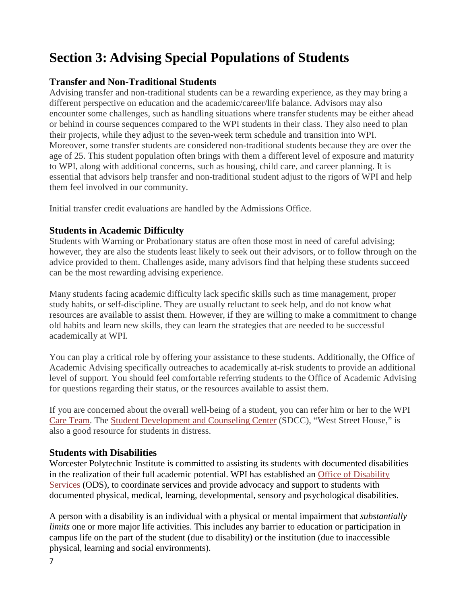# <span id="page-7-0"></span>**Section 3: Advising Special Populations of Students**

# <span id="page-7-1"></span>**Transfer and Non-Traditional Students**

Advising transfer and non-traditional students can be a rewarding experience, as they may bring a different perspective on education and the academic/career/life balance. Advisors may also encounter some challenges, such as handling situations where transfer students may be either ahead or behind in course sequences compared to the WPI students in their class. They also need to plan their projects, while they adjust to the seven-week term schedule and transition into WPI. Moreover, some transfer students are considered non-traditional students because they are over the age of 25. This student population often brings with them a different level of exposure and maturity to WPI, along with additional concerns, such as housing, child care, and career planning. It is essential that advisors help transfer and non-traditional student adjust to the rigors of WPI and help them feel involved in our community.

Initial transfer credit evaluations are handled by the Admissions Office.

# <span id="page-7-2"></span>**Students in Academic Difficulty**

Students with Warning or Probationary status are often those most in need of careful advising; however, they are also the students least likely to seek out their advisors, or to follow through on the advice provided to them. Challenges aside, many advisors find that helping these students succeed can be the most rewarding advising experience.

Many students facing academic difficulty lack specific skills such as time management, proper study habits, or self-discipline. They are usually reluctant to seek help, and do not know what resources are available to assist them. However, if they are willing to make a commitment to change old habits and learn new skills, they can learn the strategies that are needed to be successful academically at WPI.

You can play a critical role by offering your assistance to these students. Additionally, the Office of Academic Advising specifically outreaches to academically at-risk students to provide an additional level of support. You should feel comfortable referring students to the Office of Academic Advising for questions regarding their status, or the resources available to assist them.

If you are concerned about the overall well-being of a student, you can refer him or her to the WPI [Care Team.](http://www.wpi.edu/offices/dean-of-students/concern.html) The [Student Development and Counseling Center](#page-17-1) (SDCC), "West Street House," is also a good resource for students in distress.

#### <span id="page-7-3"></span>**Students with Disabilities**

Worcester Polytechnic Institute is committed to assisting its students with documented disabilities in the realization of their full academic potential. WPI has established an [Office of Disability](http://www.wpi.edu/+disabilities)  [Services](http://www.wpi.edu/+disabilities) (ODS), to coordinate services and provide advocacy and support to students with documented physical, medical, learning, developmental, sensory and psychological disabilities.

A person with a disability is an individual with a physical or mental impairment that *substantially limits* one or more major life activities. This includes any barrier to education or participation in campus life on the part of the student (due to disability) or the institution (due to inaccessible physical, learning and social environments).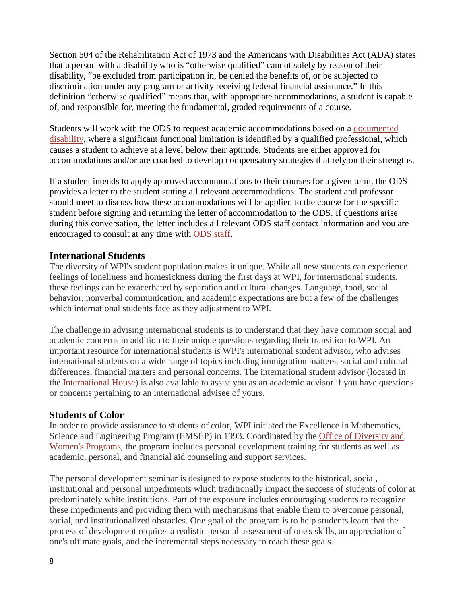Section 504 of the Rehabilitation Act of 1973 and the Americans with Disabilities Act (ADA) states that a person with a disability who is "otherwise qualified" cannot solely by reason of their disability, "be excluded from participation in, be denied the benefits of, or be subjected to discrimination under any program or activity receiving federal financial assistance." In this definition "otherwise qualified" means that, with appropriate accommodations, a student is capable of, and responsible for, meeting the fundamental, graded requirements of a course.

Students will work with the ODS to request academic accommodations based on a [documented](http://www.wpi.edu/offices/disabilities/guidelines.html)  [disability,](http://www.wpi.edu/offices/disabilities/guidelines.html) where a significant functional limitation is identified by a qualified professional, which causes a student to achieve at a level below their aptitude. Students are either approved for accommodations and/or are coached to develop compensatory strategies that rely on their strengths.

If a student intends to apply approved accommodations to their courses for a given term, the ODS provides a letter to the student stating all relevant accommodations. The student and professor should meet to discuss how these accommodations will be applied to the course for the specific student before signing and returning the letter of accommodation to the ODS. If questions arise during this conversation, the letter includes all relevant ODS staff contact information and you are encouraged to consult at any time with [ODS staff.](http://www.wpi.edu/offices/disabilities/odssta96.html)

#### <span id="page-8-0"></span>**International Students**

The diversity of WPI's student population makes it unique. While all new students can experience feelings of loneliness and homesickness during the first days at WPI, for international students, these feelings can be exacerbated by separation and cultural changes. Language, food, social behavior, nonverbal communication, and academic expectations are but a few of the challenges which international students face as they adjustment to WPI.

The challenge in advising international students is to understand that they have common social and academic concerns in addition to their unique questions regarding their transition to WPI. An important resource for international students is WPI's international student advisor, who advises international students on a wide range of topics including immigration matters, social and cultural differences, financial matters and personal concerns. The international student advisor (located in the [International House\)](#page-17-1) is also available to assist you as an academic advisor if you have questions or concerns pertaining to an international advisee of yours.

#### <span id="page-8-1"></span>**Students of Color**

In order to provide assistance to students of color, WPI initiated the Excellence in Mathematics, Science and Engineering Program (EMSEP) in 1993. Coordinated by the [Office of Diversity and](#page-17-1)  [Women's Programs,](#page-17-1) the program includes personal development training for students as well as academic, personal, and financial aid counseling and support services.

The personal development seminar is designed to expose students to the historical, social, institutional and personal impediments which traditionally impact the success of students of color at predominately white institutions. Part of the exposure includes encouraging students to recognize these impediments and providing them with mechanisms that enable them to overcome personal, social, and institutionalized obstacles. One goal of the program is to help students learn that the process of development requires a realistic personal assessment of one's skills, an appreciation of one's ultimate goals, and the incremental steps necessary to reach these goals.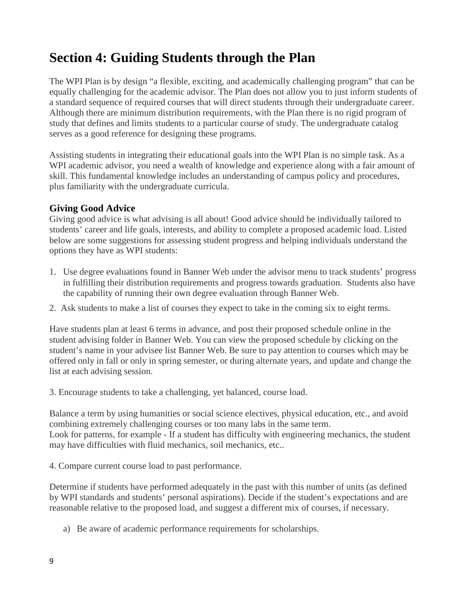# <span id="page-9-0"></span>**Section 4: Guiding Students through the Plan**

The WPI Plan is by design "a flexible, exciting, and academically challenging program" that can be equally challenging for the academic advisor. The Plan does not allow you to just inform students of a standard sequence of required courses that will direct students through their undergraduate career. Although there are minimum distribution requirements, with the Plan there is no rigid program of study that defines and limits students to a particular course of study. The undergraduate catalog serves as a good reference for designing these programs.

Assisting students in integrating their educational goals into the WPI Plan is no simple task. As a WPI academic advisor, you need a wealth of knowledge and experience along with a fair amount of skill. This fundamental knowledge includes an understanding of campus policy and procedures, plus familiarity with the undergraduate curricula.

# <span id="page-9-1"></span>**Giving Good Advice**

Giving good advice is what advising is all about! Good advice should be individually tailored to students' career and life goals, interests, and ability to complete a proposed academic load. Listed below are some suggestions for assessing student progress and helping individuals understand the options they have as WPI students:

- 1. Use degree evaluations found in Banner Web under the advisor menu to track students' progress in fulfilling their distribution requirements and progress towards graduation. Students also have the capability of running their own degree evaluation through Banner Web.
- 2. Ask students to make a list of courses they expect to take in the coming six to eight terms.

Have students plan at least 6 terms in advance, and post their proposed schedule online in the student advising folder in Banner Web. You can view the proposed schedule by clicking on the student's name in your advisee list Banner Web. Be sure to pay attention to courses which may be offered only in fall or only in spring semester, or during alternate years, and update and change the list at each advising session.

3. Encourage students to take a challenging, yet balanced, course load.

Balance a term by using humanities or social science electives, physical education, etc., and avoid combining extremely challenging courses or too many labs in the same term. Look for patterns, for example - If a student has difficulty with engineering mechanics, the student may have difficulties with fluid mechanics, soil mechanics, etc..

4. Compare current course load to past performance.

Determine if students have performed adequately in the past with this number of units (as defined by WPI standards and students' personal aspirations). Decide if the student's expectations and are reasonable relative to the proposed load, and suggest a different mix of courses, if necessary.

a) Be aware of academic performance requirements for scholarships.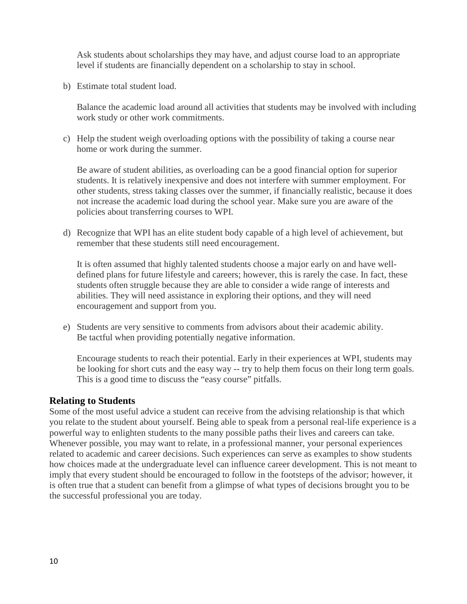Ask students about scholarships they may have, and adjust course load to an appropriate level if students are financially dependent on a scholarship to stay in school.

b) Estimate total student load.

Balance the academic load around all activities that students may be involved with including work study or other work commitments.

c) Help the student weigh overloading options with the possibility of taking a course near home or work during the summer.

Be aware of student abilities, as overloading can be a good financial option for superior students. It is relatively inexpensive and does not interfere with summer employment. For other students, stress taking classes over the summer, if financially realistic, because it does not increase the academic load during the school year. Make sure you are aware of the policies about transferring courses to WPI.

d) Recognize that WPI has an elite student body capable of a high level of achievement, but remember that these students still need encouragement.

It is often assumed that highly talented students choose a major early on and have welldefined plans for future lifestyle and careers; however, this is rarely the case. In fact, these students often struggle because they are able to consider a wide range of interests and abilities. They will need assistance in exploring their options, and they will need encouragement and support from you.

e) Students are very sensitive to comments from advisors about their academic ability. Be tactful when providing potentially negative information.

Encourage students to reach their potential. Early in their experiences at WPI, students may be looking for short cuts and the easy way -- try to help them focus on their long term goals. This is a good time to discuss the "easy course" pitfalls.

#### <span id="page-10-0"></span>**Relating to Students**

Some of the most useful advice a student can receive from the advising relationship is that which you relate to the student about yourself. Being able to speak from a personal real-life experience is a powerful way to enlighten students to the many possible paths their lives and careers can take. Whenever possible, you may want to relate, in a professional manner, your personal experiences related to academic and career decisions. Such experiences can serve as examples to show students how choices made at the undergraduate level can influence career development. This is not meant to imply that every student should be encouraged to follow in the footsteps of the advisor; however, it is often true that a student can benefit from a glimpse of what types of decisions brought you to be the successful professional you are today.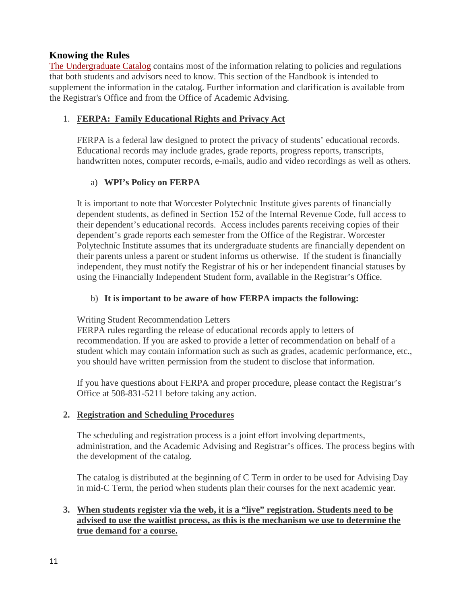# <span id="page-11-0"></span>**Knowing the Rules**

[The Undergraduate Catalog](http://www.wpi.edu/academics/catalogs/ugrad.html) contains most of the information relating to policies and regulations that both students and advisors need to know. This section of the Handbook is intended to supplement the information in the catalog. Further information and clarification is available from the Registrar's Office and from the Office of Academic Advising.

#### 1. **FERPA: Family Educational Rights and Privacy Act**

FERPA is a federal law designed to protect the privacy of students' educational records. Educational records may include grades, grade reports, progress reports, transcripts, handwritten notes, computer records, e-mails, audio and video recordings as well as others.

### a) **WPI's Policy on FERPA**

It is important to note that Worcester Polytechnic Institute gives parents of financially dependent students, as defined in Section 152 of the Internal Revenue Code, full access to their dependent's educational records. Access includes parents receiving copies of their dependent's grade reports each semester from the Office of the Registrar. Worcester Polytechnic Institute assumes that its undergraduate students are financially dependent on their parents unless a parent or student informs us otherwise. If the student is financially independent, they must notify the Registrar of his or her independent financial statuses by using the Financially Independent Student form, available in the Registrar's Office.

#### b) **It is important to be aware of how FERPA impacts the following:**

#### Writing Student Recommendation Letters

FERPA rules regarding the release of educational records apply to letters of recommendation. If you are asked to provide a letter of recommendation on behalf of a student which may contain information such as such as grades, academic performance, etc., you should have written permission from the student to disclose that information.

If you have questions about FERPA and proper procedure, please contact the Registrar's Office at 508-831-5211 before taking any action.

#### **2. Registration and Scheduling Procedures**

The scheduling and registration process is a joint effort involving departments, administration, and the Academic Advising and Registrar's offices. The process begins with the development of the catalog.

The catalog is distributed at the beginning of C Term in order to be used for Advising Day in mid-C Term, the period when students plan their courses for the next academic year.

### **3. When students register via the web, it is a "live" registration. Students need to be advised to use the waitlist process, as this is the mechanism we use to determine the true demand for a course.**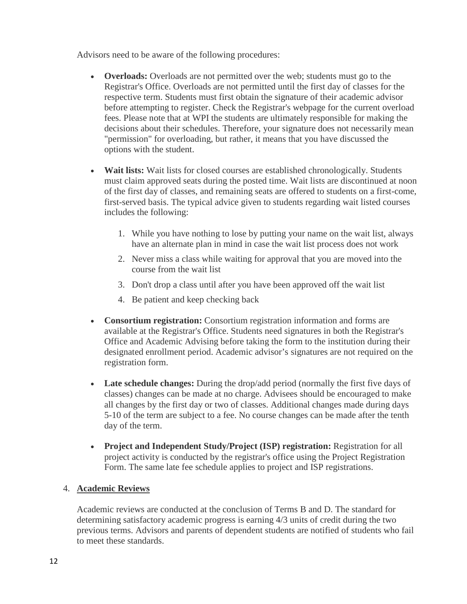Advisors need to be aware of the following procedures:

- **Overloads:** Overloads are not permitted over the web; students must go to the Registrar's Office. Overloads are not permitted until the first day of classes for the respective term. Students must first obtain the signature of their academic advisor before attempting to register. Check the Registrar's webpage for the current overload fees. Please note that at WPI the students are ultimately responsible for making the decisions about their schedules. Therefore, your signature does not necessarily mean "permission" for overloading, but rather, it means that you have discussed the options with the student.
- **Wait lists:** Wait lists for closed courses are established chronologically. Students must claim approved seats during the posted time. Wait lists are discontinued at noon of the first day of classes, and remaining seats are offered to students on a first-come, first-served basis. The typical advice given to students regarding wait listed courses includes the following:
	- 1. While you have nothing to lose by putting your name on the wait list, always have an alternate plan in mind in case the wait list process does not work
	- 2. Never miss a class while waiting for approval that you are moved into the course from the wait list
	- 3. Don't drop a class until after you have been approved off the wait list
	- 4. Be patient and keep checking back
- **Consortium registration:** Consortium registration information and forms are available at the Registrar's Office. Students need signatures in both the Registrar's Office and Academic Advising before taking the form to the institution during their designated enrollment period. Academic advisor's signatures are not required on the registration form.
- **Late schedule changes:** During the drop/add period (normally the first five days of classes) changes can be made at no charge. Advisees should be encouraged to make all changes by the first day or two of classes. Additional changes made during days 5-10 of the term are subject to a fee. No course changes can be made after the tenth day of the term.
- **Project and Independent Study/Project (ISP) registration:** Registration for all project activity is conducted by the registrar's office using the Project Registration Form. The same late fee schedule applies to project and ISP registrations.

#### 4. **Academic Reviews**

Academic reviews are conducted at the conclusion of Terms B and D. The standard for determining satisfactory academic progress is earning 4/3 units of credit during the two previous terms. Advisors and parents of dependent students are notified of students who fail to meet these standards.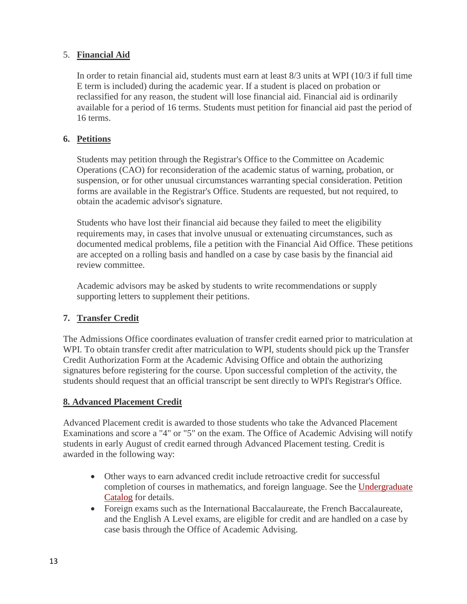### 5. **Financial Aid**

In order to retain financial aid, students must earn at least 8/3 units at WPI (10/3 if full time E term is included) during the academic year. If a student is placed on probation or reclassified for any reason, the student will lose financial aid. Financial aid is ordinarily available for a period of 16 terms. Students must petition for financial aid past the period of 16 terms.

#### **6. Petitions**

Students may petition through the Registrar's Office to the Committee on Academic Operations (CAO) for reconsideration of the academic status of warning, probation, or suspension, or for other unusual circumstances warranting special consideration. Petition forms are available in the Registrar's Office. Students are requested, but not required, to obtain the academic advisor's signature.

Students who have lost their financial aid because they failed to meet the eligibility requirements may, in cases that involve unusual or extenuating circumstances, such as documented medical problems, file a petition with the Financial Aid Office. These petitions are accepted on a rolling basis and handled on a case by case basis by the financial aid review committee.

Academic advisors may be asked by students to write recommendations or supply supporting letters to supplement their petitions.

#### **7. Transfer Credit**

The Admissions Office coordinates evaluation of transfer credit earned prior to matriculation at WPI. To obtain transfer credit after matriculation to WPI, students should pick up the Transfer Credit Authorization Form at the Academic Advising Office and obtain the authorizing signatures before registering for the course. Upon successful completion of the activity, the students should request that an official transcript be sent directly to WPI's Registrar's Office.

#### **8. Advanced Placement Credit**

Advanced Placement credit is awarded to those students who take the Advanced Placement Examinations and score a "4" or "5" on the exam. The Office of Academic Advising will notify students in early August of credit earned through Advanced Placement testing. Credit is awarded in the following way:

- Other ways to earn advanced credit include retroactive credit for successful completion of courses in mathematics, and foreign language. See the [Undergraduate](http://www.wpi.edu/academics/catalogs/ugrad.html) [Catalog](http://www.wpi.edu/academics/catalogs/ugrad.html) for details.
- Foreign exams such as the International Baccalaureate, the French Baccalaureate, and the English A Level exams, are eligible for credit and are handled on a case by case basis through the Office of Academic Advising.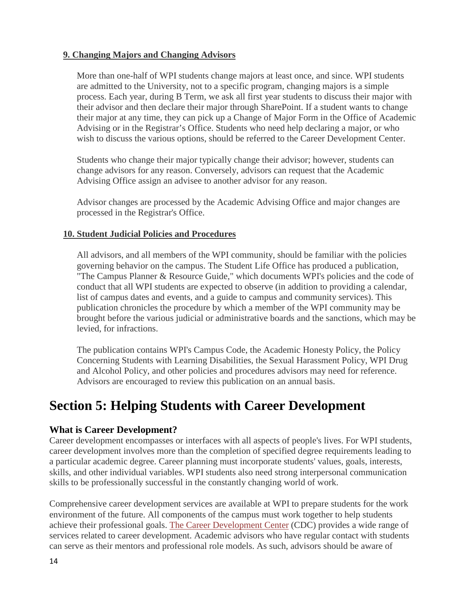#### **9. Changing Majors and Changing Advisors**

More than one-half of WPI students change majors at least once, and since. WPI students are admitted to the University, not to a specific program, changing majors is a simple process. Each year, during B Term, we ask all first year students to discuss their major with their advisor and then declare their major through SharePoint. If a student wants to change their major at any time, they can pick up a Change of Major Form in the Office of Academic Advising or in the Registrar's Office. Students who need help declaring a major, or who wish to discuss the various options, should be referred to the Career Development Center.

Students who change their major typically change their advisor; however, students can change advisors for any reason. Conversely, advisors can request that the Academic Advising Office assign an advisee to another advisor for any reason.

Advisor changes are processed by the Academic Advising Office and major changes are processed in the Registrar's Office.

#### **10. Student Judicial Policies and Procedures**

All advisors, and all members of the WPI community, should be familiar with the policies governing behavior on the campus. The Student Life Office has produced a publication, "The Campus Planner & Resource Guide," which documents WPI's policies and the code of conduct that all WPI students are expected to observe (in addition to providing a calendar, list of campus dates and events, and a guide to campus and community services). This publication chronicles the procedure by which a member of the WPI community may be brought before the various judicial or administrative boards and the sanctions, which may be levied, for infractions.

The publication contains WPI's Campus Code, the Academic Honesty Policy, the Policy Concerning Students with Learning Disabilities, the Sexual Harassment Policy, WPI Drug and Alcohol Policy, and other policies and procedures advisors may need for reference. Advisors are encouraged to review this publication on an annual basis.

# <span id="page-14-0"></span>**Section 5: Helping Students with Career Development**

#### <span id="page-14-1"></span>**What is Career Development?**

Career development encompasses or interfaces with all aspects of people's lives. For WPI students, career development involves more than the completion of specified degree requirements leading to a particular academic degree. Career planning must incorporate students' values, goals, interests, skills, and other individual variables. WPI students also need strong interpersonal communication skills to be professionally successful in the constantly changing world of work.

Comprehensive career development services are available at WPI to prepare students for the work environment of the future. All components of the campus must work together to help students achieve their professional goals. [The Career Development Center](#page-17-1) (CDC) provides a wide range of services related to career development. Academic advisors who have regular contact with students can serve as their mentors and professional role models. As such, advisors should be aware of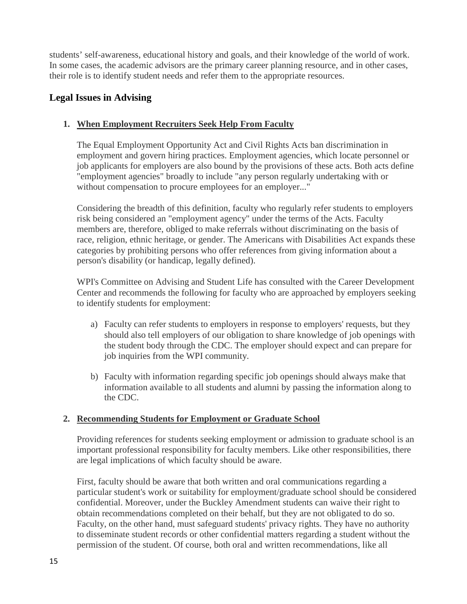students' self-awareness, educational history and goals, and their knowledge of the world of work. In some cases, the academic advisors are the primary career planning resource, and in other cases, their role is to identify student needs and refer them to the appropriate resources.

# <span id="page-15-0"></span>**Legal Issues in Advising**

### **1. When Employment Recruiters Seek Help From Faculty**

The Equal Employment Opportunity Act and Civil Rights Acts ban discrimination in employment and govern hiring practices. Employment agencies, which locate personnel or job applicants for employers are also bound by the provisions of these acts. Both acts define "employment agencies" broadly to include "any person regularly undertaking with or without compensation to procure employees for an employer..."

Considering the breadth of this definition, faculty who regularly refer students to employers risk being considered an "employment agency" under the terms of the Acts. Faculty members are, therefore, obliged to make referrals without discriminating on the basis of race, religion, ethnic heritage, or gender. The Americans with Disabilities Act expands these categories by prohibiting persons who offer references from giving information about a person's disability (or handicap, legally defined).

WPI's Committee on Advising and Student Life has consulted with the Career Development Center and recommends the following for faculty who are approached by employers seeking to identify students for employment:

- a) Faculty can refer students to employers in response to employers' requests, but they should also tell employers of our obligation to share knowledge of job openings with the student body through the CDC. The employer should expect and can prepare for job inquiries from the WPI community.
- b) Faculty with information regarding specific job openings should always make that information available to all students and alumni by passing the information along to the CDC.

#### **2. Recommending Students for Employment or Graduate School**

Providing references for students seeking employment or admission to graduate school is an important professional responsibility for faculty members. Like other responsibilities, there are legal implications of which faculty should be aware.

First, faculty should be aware that both written and oral communications regarding a particular student's work or suitability for employment/graduate school should be considered confidential. Moreover, under the Buckley Amendment students can waive their right to obtain recommendations completed on their behalf, but they are not obligated to do so. Faculty, on the other hand, must safeguard students' privacy rights. They have no authority to disseminate student records or other confidential matters regarding a student without the permission of the student. Of course, both oral and written recommendations, like all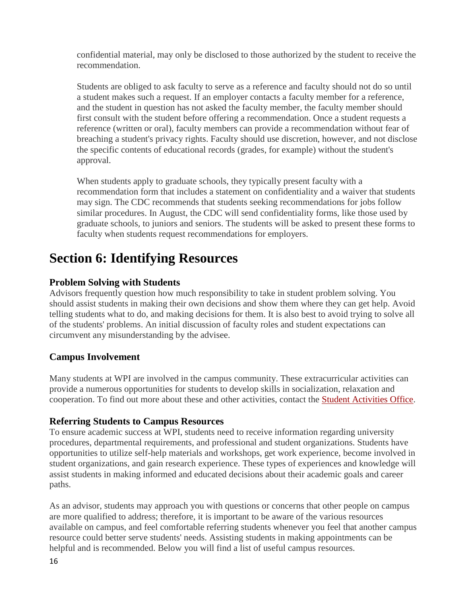confidential material, may only be disclosed to those authorized by the student to receive the recommendation.

Students are obliged to ask faculty to serve as a reference and faculty should not do so until a student makes such a request. If an employer contacts a faculty member for a reference, and the student in question has not asked the faculty member, the faculty member should first consult with the student before offering a recommendation. Once a student requests a reference (written or oral), faculty members can provide a recommendation without fear of breaching a student's privacy rights. Faculty should use discretion, however, and not disclose the specific contents of educational records (grades, for example) without the student's approval.

When students apply to graduate schools, they typically present faculty with a recommendation form that includes a statement on confidentiality and a waiver that students may sign. The CDC recommends that students seeking recommendations for jobs follow similar procedures. In August, the CDC will send confidentiality forms, like those used by graduate schools, to juniors and seniors. The students will be asked to present these forms to faculty when students request recommendations for employers.

# <span id="page-16-0"></span>**Section 6: Identifying Resources**

# <span id="page-16-1"></span>**Problem Solving with Students**

Advisors frequently question how much responsibility to take in student problem solving. You should assist students in making their own decisions and show them where they can get help. Avoid telling students what to do, and making decisions for them. It is also best to avoid trying to solve all of the students' problems. An initial discussion of faculty roles and student expectations can circumvent any misunderstanding by the advisee.

# <span id="page-16-2"></span>**Campus Involvement**

Many students at WPI are involved in the campus community. These extracurricular activities can provide a numerous opportunities for students to develop skills in socialization, relaxation and cooperation. To find out more about these and other activities, contact the [Student Activities Office.](http://www.wpi.edu/Admin/SAO/)

# <span id="page-16-3"></span>**Referring Students to Campus Resources**

To ensure academic success at WPI, students need to receive information regarding university procedures, departmental requirements, and professional and student organizations. Students have opportunities to utilize self-help materials and workshops, get work experience, become involved in student organizations, and gain research experience. These types of experiences and knowledge will assist students in making informed and educated decisions about their academic goals and career paths.

As an advisor, students may approach you with questions or concerns that other people on campus are more qualified to address; therefore, it is important to be aware of the various resources available on campus, and feel comfortable referring students whenever you feel that another campus resource could better serve students' needs. Assisting students in making appointments can be helpful and is recommended. Below you will find a list of useful campus resources.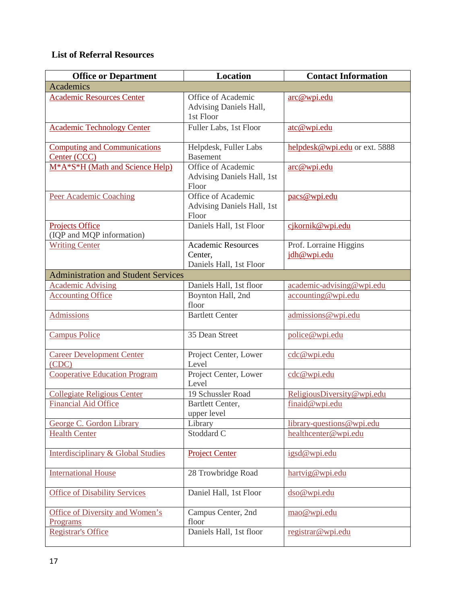# <span id="page-17-1"></span><span id="page-17-0"></span>**List of Referral Resources**

| <b>Office or Department</b>                                            | Location                                                        | <b>Contact Information</b>            |
|------------------------------------------------------------------------|-----------------------------------------------------------------|---------------------------------------|
| <b>Academics</b>                                                       |                                                                 |                                       |
| <b>Academic Resources Center</b>                                       | Office of Academic<br>Advising Daniels Hall,<br>1st Floor       | arc@wpi.edu                           |
| <b>Academic Technology Center</b>                                      | Fuller Labs, 1st Floor                                          | atc@wpi.edu                           |
| <b>Computing and Communications</b><br>Center (CCC)                    | Helpdesk, Fuller Labs<br><b>Basement</b>                        | helpdesk@wpi.edu or ext. 5888         |
| M <sup>*</sup> A <sup>*</sup> S <sup>*</sup> H (Math and Science Help) | Office of Academic<br>Advising Daniels Hall, 1st<br>Floor       | arc@wpi.edu                           |
| Peer Academic Coaching                                                 | Office of Academic<br>Advising Daniels Hall, 1st<br>Floor       | pacs@wpi.edu                          |
| <b>Projects Office</b><br>(IQP and MQP information)                    | Daniels Hall, 1st Floor                                         | cjkornik@wpi.edu                      |
| <b>Writing Center</b>                                                  | <b>Academic Resources</b><br>Center,<br>Daniels Hall, 1st Floor | Prof. Lorraine Higgins<br>jdh@wpi.edu |
| <b>Administration and Student Services</b>                             |                                                                 |                                       |
| <b>Academic Advising</b>                                               | Daniels Hall, 1st floor                                         | academic-advising@wpi.edu             |
| <b>Accounting Office</b>                                               | Boynton Hall, 2nd<br>floor                                      | accounting@wpi.edu                    |
| <b>Admissions</b>                                                      | <b>Bartlett Center</b>                                          | admissions@wpi.edu                    |
| <b>Campus Police</b>                                                   | 35 Dean Street                                                  | police@wpi.edu                        |
| <b>Career Development Center</b><br>(CDC)                              | Project Center, Lower<br>Level                                  | cdc@wpi.edu                           |
| <b>Cooperative Education Program</b>                                   | Project Center, Lower<br>Level                                  | cdc@wpi.edu                           |
| <b>Collegiate Religious Center</b>                                     | 19 Schussler Road                                               | ReligiousDiversity@wpi.edu            |
| <b>Financial Aid Office</b>                                            | Bartlett Center,<br>upper level                                 | finaid@wpi.edu                        |
| George C. Gordon Library                                               | Library                                                         | library-questions@wpi.edu             |
| <b>Health Center</b>                                                   | Stoddard C                                                      | healthcenter@wpi.edu                  |
| <b>Interdisciplinary &amp; Global Studies</b>                          | <b>Project Center</b>                                           | igsd@wpi.edu                          |
| <b>International House</b>                                             | 28 Trowbridge Road                                              | hartvig@wpi.edu                       |
| <b>Office of Disability Services</b>                                   | Daniel Hall, 1st Floor                                          | dso@wpi.edu                           |
| Office of Diversity and Women's<br>Programs                            | Campus Center, 2nd<br>floor                                     | mao@wpi.edu                           |
| <b>Registrar's Office</b>                                              | Daniels Hall, 1st floor                                         | registrar@wpi.edu                     |